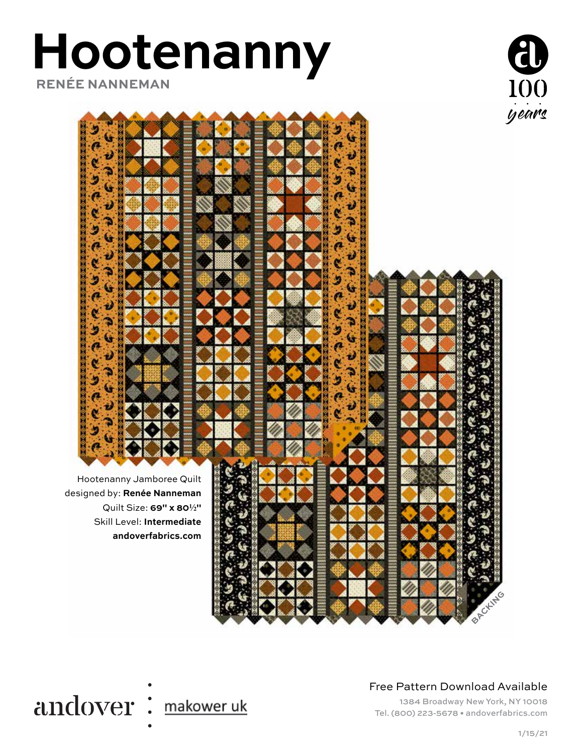# **Hootenanny RENÉE NANNEMAN**





#### Free Pattern Download Available

1384 Broadway New York, NY 10018 Tel. (800) 223-5678 • andoverfabrics.com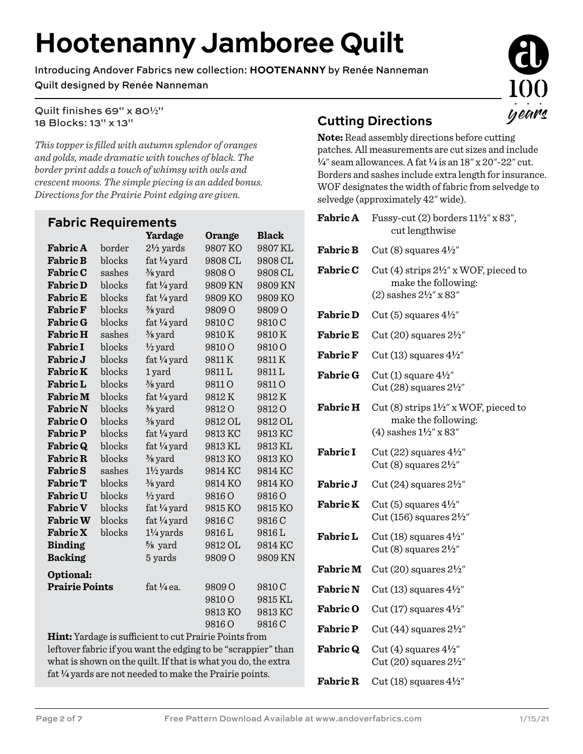# **Hootenanny Jamboree Quilt**

Introducing Andover Fabrics new collection: **HOOTENANNY** by Renée Nanneman

#### Quilt designed by Renée Nanneman

Quilt finishes 69" x 80<sup>1</sup>/<sub>2</sub>" 18 Blocks: 13" x 13"

*This topper is filled with autumn splendor of oranges and golds, made dramatic with touches of black. The border print adds a touch of whimsy with owls and crescent moons. The simple piecing is an added bonus. Directions for the Prairie Point edging are given.*

| <b>Fabric Requirements</b>                                    |        |                      |                   |                   |  |  |
|---------------------------------------------------------------|--------|----------------------|-------------------|-------------------|--|--|
|                                                               |        | Yardage              | Orange            | <b>Black</b>      |  |  |
| <b>Fabric A</b>                                               | border | $2\frac{1}{2}$ yards | 9807 KO           | 9807 KL           |  |  |
| <b>Fabric B</b>                                               | blocks | fat 1/4 yard         | 9808 CL           | 9808 CL           |  |  |
| <b>Fabric C</b>                                               | sashes | $\frac{3}{8}$ yard   | 9808 <sub>O</sub> | 9808 CL           |  |  |
| <b>Fabric D</b>                                               | blocks | fat 1/4 yard         | 9809 KN           | 9809 KN           |  |  |
| <b>Fabric E</b>                                               | blocks | fat 1/4 yard         | 9809 KO           | 9809 KO           |  |  |
| <b>Fabric F</b>                                               | blocks | $\frac{3}{8}$ yard   | 9809 O            | 9809 O            |  |  |
| <b>Fabric G</b>                                               | blocks | fat 1/4 yard         | 9810C             | 9810C             |  |  |
| <b>Fabric H</b>                                               | sashes | $\frac{3}{8}$ yard   | 9810K             | 9810K             |  |  |
| <b>Fabric I</b>                                               | blocks | $\frac{1}{2}$ yard   | 9810O             | 9810 <sub>O</sub> |  |  |
| <b>Fabric J</b>                                               | blocks | fat 1/4 yard         | 9811K             | 9811K             |  |  |
| <b>Fabric K</b>                                               | blocks | 1 yard               | 9811L             | 9811L             |  |  |
| <b>Fabric L</b>                                               | blocks | $\frac{3}{8}$ yard   | 9811O             | 9811 O            |  |  |
| <b>Fabric M</b>                                               | blocks | fat 1/4 yard         | 9812K             | 9812K             |  |  |
| <b>Fabric N</b>                                               | blocks | $\frac{3}{8}$ yard   | 9812O             | 9812O             |  |  |
| <b>Fabric O</b>                                               | blocks | $\frac{3}{8}$ yard   | 9812 OL           | 9812 OL           |  |  |
| <b>Fabric P</b>                                               | blocks | fat 1/4 yard         | 9813 KC           | 9813 KC           |  |  |
| <b>Fabric Q</b>                                               | blocks | fat 1/4 yard         | 9813 KL           | 9813 KL           |  |  |
| <b>Fabric R</b>                                               | blocks | $\frac{3}{8}$ yard   | 9813KO            | 9813 KO           |  |  |
| <b>Fabric S</b>                                               | sashes | $1\frac{1}{2}$ yards | 9814 KC           | 9814 KC           |  |  |
| <b>Fabric T</b>                                               | blocks | $\frac{3}{8}$ yard   | 9814 KO           | 9814 KO           |  |  |
| <b>Fabric U</b>                                               | blocks | $\frac{1}{2}$ yard   | 9816O             | 9816O             |  |  |
| <b>Fabric V</b>                                               | blocks | fat 1/4 yard         | 9815 KO           | 9815 KO           |  |  |
| <b>Fabric W</b>                                               | blocks | fat 1/4 yard         | 9816 C            | 9816 C            |  |  |
| <b>Fabric X</b>                                               | blocks | $1\frac{1}{4}$ yards | 9816L             | 9816L             |  |  |
| <b>Binding</b>                                                |        | $\frac{5}{8}$ yard   | 9812 OL           | 9814 KC           |  |  |
| <b>Backing</b>                                                |        | 5 yards              | 9809 O            | 9809 KN           |  |  |
| Optional:                                                     |        |                      |                   |                   |  |  |
| <b>Prairie Points</b>                                         |        | $fat\$ /4 ea.        | 9809 O            | 9810C             |  |  |
|                                                               |        |                      | 9810 <sub>O</sub> | 9815 KL           |  |  |
|                                                               |        |                      | 9813KO            | 9813 KC           |  |  |
|                                                               |        |                      | 9816 O            | 9816 C            |  |  |
| <b>Hint:</b> Yardage is sufficient to cut Prairie Points from |        |                      |                   |                   |  |  |

**Hint:** Yardage is sufficient to cut Prairie Points from leftover fabric if you want the edging to be "scrappier" than what is shown on the quilt. If that is what you do, the extra fat **4** yards are not needed to make the Prairie points.

### **Cutting Directions**

**Note:** Read assembly directions before cutting patches. All measurements are cut sizes and include **4**" seam allowances. A fat **4** is an 18" x 20"-22" cut. Borders and sashes include extra length for insurance. WOF designates the width of fabric from selvedge to selvedge (approximately 42" wide).

| <b>Fabric A</b> | Fussy-cut $(2)$ borders $11\frac{1}{2}$ " x 83",<br>cut lengthwise                                           |
|-----------------|--------------------------------------------------------------------------------------------------------------|
| <b>Fabric B</b> | Cut (8) squares $4\frac{1}{2}$                                                                               |
| <b>Fabric C</b> | Cut (4) strips $2\frac{1}{2}$ " x WOF, pieced to<br>make the following:<br>(2) sashes $2\frac{1}{2}$ " x 83" |
| <b>Fabric D</b> | Cut (5) squares $4\frac{1}{2}$                                                                               |
| <b>Fabric E</b> | Cut $(20)$ squares $2\frac{1}{2}$ "                                                                          |
| <b>Fabric F</b> | Cut (13) squares $4\frac{1}{2}$ "                                                                            |
| <b>Fabric G</b> | Cut (1) square $4\frac{1}{2}$ "<br>Cut $(28)$ squares $2\frac{1}{2}$ "                                       |
| <b>Fabric H</b> | Cut (8) strips $1\frac{1}{2}$ " x WOF, pieced to<br>make the following:<br>(4) sashes $1\frac{1}{2}$ x 83"   |
| <b>Fabric I</b> | Cut $(22)$ squares $4\frac{1}{2}$ "<br>Cut (8) squares $2\frac{1}{2}$ "                                      |
| Fabric J        | Cut $(24)$ squares $2\frac{1}{2}$ "                                                                          |
| <b>Fabric K</b> | Cut (5) squares $4\frac{1}{2}$<br>Cut (156) squares $2\frac{1}{2}$ "                                         |
| <b>Fabric L</b> | Cut (18) squares $4\frac{1}{2}$ "<br>Cut (8) squares $2\frac{1}{2}$ "                                        |
| <b>Fabric M</b> | Cut $(20)$ squares $2\frac{1}{2}$                                                                            |
| <b>Fabric N</b> | Cut (13) squares $4\frac{1}{2}$                                                                              |
| <b>Fabric O</b> | Cut $(17)$ squares $4\frac{1}{2}$                                                                            |
| <b>Fabric P</b> | Cut $(44)$ squares $2\frac{1}{2}$                                                                            |
| <b>Fabric Q</b> | Cut (4) squares $4\frac{1}{2}$<br>Cut $(20)$ squares $2\frac{1}{2}$ "                                        |
| <b>Fabric R</b> | Cut (18) squares $4\frac{1}{2}$                                                                              |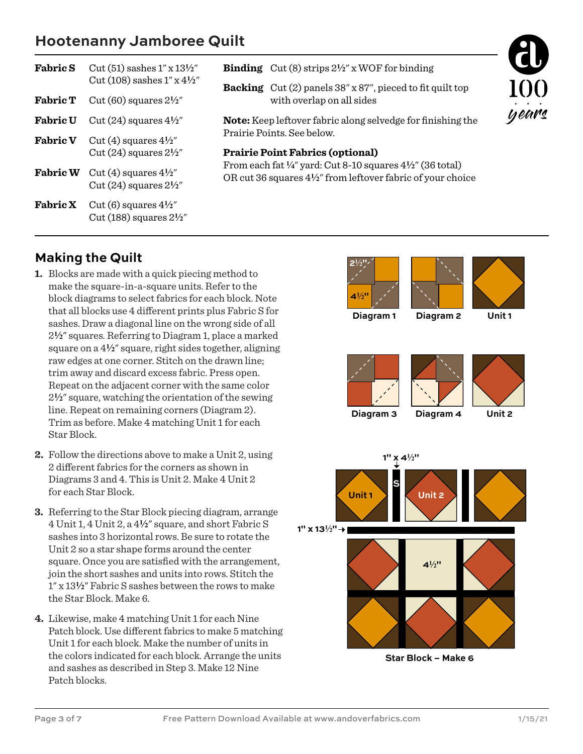## **Hootenanny Jamboree Quilt**

| <b>Fabric S</b> | Cut (51) sashes $1''$ x $13\frac{1}{2}''$<br>Cut (108) sashes $1''$ x $4\frac{1}{2}''$ | <b>Binding</b> Cut (8) strips $2\frac{1}{2}$ " x WOF for binding                                                                                                                                                                                                                                                |  |
|-----------------|----------------------------------------------------------------------------------------|-----------------------------------------------------------------------------------------------------------------------------------------------------------------------------------------------------------------------------------------------------------------------------------------------------------------|--|
| <b>Fabric T</b> | Cut (60) squares $2\frac{1}{2}$                                                        | 10<br><b>Backing</b> $Cut(2)$ panels $38'' \times 87''$ , pieced to fit quilt top<br>with overlap on all sides                                                                                                                                                                                                  |  |
| <b>Fabric U</b> | Cut $(24)$ squares $4\frac{1}{2}$                                                      | yea<br><b>Note:</b> Keep leftover fabric along selvedge for finishing the<br>Prairie Points. See below.<br><b>Prairie Point Fabrics (optional)</b><br>From each fat $\frac{1}{4}$ " yard: Cut 8-10 squares $\frac{4}{2}$ " (36 total)<br>OR cut 36 squares $4\frac{1}{2}$ " from leftover fabric of your choice |  |
| <b>Fabric V</b> | Cut (4) squares $4\frac{1}{2}$<br>Cut $(24)$ squares $2\frac{1}{2}$                    |                                                                                                                                                                                                                                                                                                                 |  |
| <b>Fabric W</b> | Cut (4) squares $4\frac{1}{2}$<br>Cut $(24)$ squares $2\frac{1}{2}$                    |                                                                                                                                                                                                                                                                                                                 |  |
| <b>Fabric X</b> | Cut (6) squares $4\frac{1}{2}$<br>Cut (188) squares $2\frac{1}{2}$                     |                                                                                                                                                                                                                                                                                                                 |  |

#### **Making the Quilt**

- **1.** Blocks are made with a quick piecing method to make the square-in-a-square units. Refer to the block diagrams to select fabrics for each block. Note that all blocks use 4 different prints plus Fabric S for sashes. Draw a diagonal line on the wrong side of all 2**2**" squares. Referring to Diagram 1, place a marked square on a  $4\frac{1}{2}$ " square, right sides together, aligning raw edges at one corner. Stitch on the drawn line; trim away and discard excess fabric. Press open. Repeat on the adjacent corner with the same color 2**2**" square, watching the orientation of the sewing line. Repeat on remaining corners (Diagram 2). Trim as before. Make 4 matching Unit 1 for each Star Block.
- **2.** Follow the directions above to make a Unit 2, using 2 different fabrics for the corners as shown in Diagrams 3 and 4. This is Unit 2. Make 4 Unit 2 for each Star Block.
- **3.** Referring to the Star Block piecing diagram, arrange 4 Unit 1, 4 Unit 2, a 4**2**" square, and short Fabric S sashes into 3 horizontal rows. Be sure to rotate the Unit 2 so a star shape forms around the center square. Once you are satisfied with the arrangement, join the short sashes and units into rows. Stitch the 1" x 13**2**" Fabric S sashes between the rows to make the Star Block. Make 6.
- **4.** Likewise, make 4 matching Unit 1 for each Nine Patch block. Use different fabrics to make 5 matching Unit 1 for each block. Make the number of units in the colors indicated for each block. Arrange the units and sashes as described in Step 3. Make 12 Nine Patch blocks.

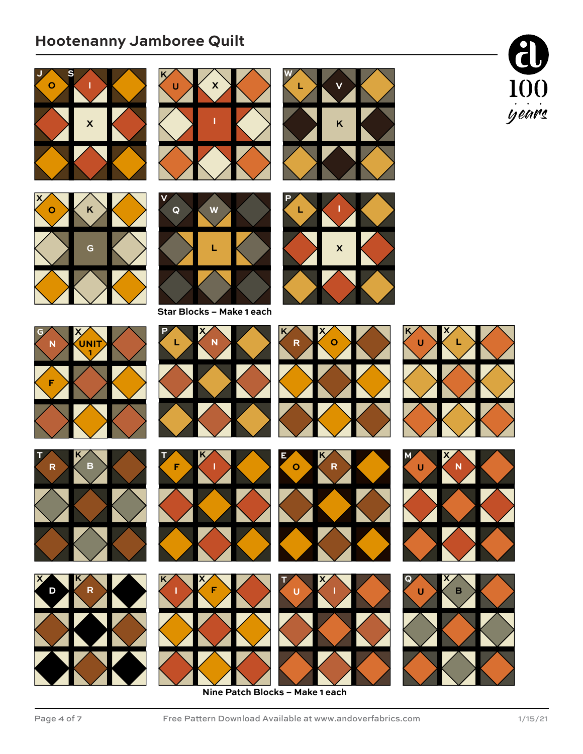# **Hootenanny Jamboree Quilt**







**X**

**U K**



**X**

**K**

**V**

**L**

**W**









**I F**







**Nine Patch Blocks – Make 1 each**





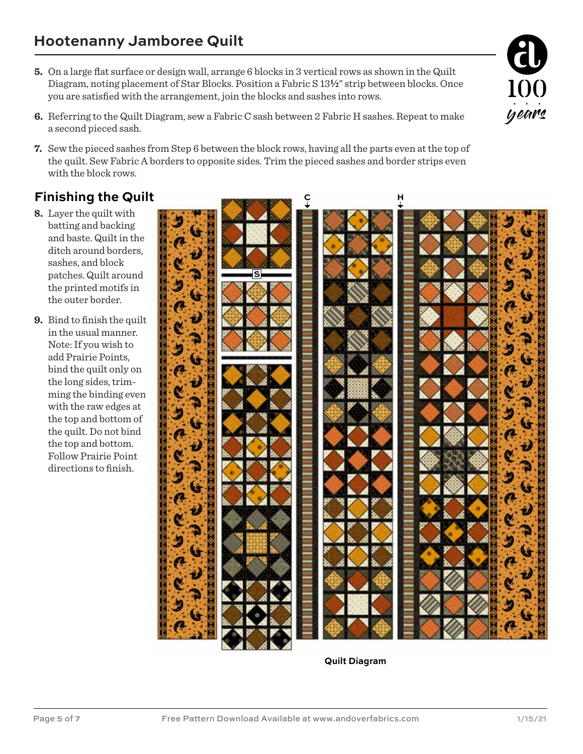- **5.** On a large flat surface or design wall, arrange 6 blocks in 3 vertical rows as shown in the Quilt Diagram, noting placement of Star Blocks. Position a Fabric S 13**2**" strip between blocks. Once you are satisfied with the arrangement, join the blocks and sashes into rows.
- **6.** Referring to the Quilt Diagram, sew a Fabric C sash between 2 Fabric H sashes. Repeat to make a second pieced sash.
- **7.** Sew the pieced sashes from Step 6 between the block rows, having all the parts even at the top of the quilt. Sew Fabric A borders to opposite sides. Trim the pieced sashes and border strips even with the block rows.

## **Finishing the Quilt**

- **8.** Layer the quilt with batting and backing and baste. Quilt in the ditch around borders, sashes, and block patches. Quilt around the printed motifs in the outer border.
- **9.** Bind to finish the quilt in the usual manner. Note: If you wish to add Prairie Points, bind the quilt only on the long sides, trimming the binding even with the raw edges at the top and bottom of the quilt. Do not bind the top and bottom. Follow Prairie Point directions to finish.



**Quilt Diagram**

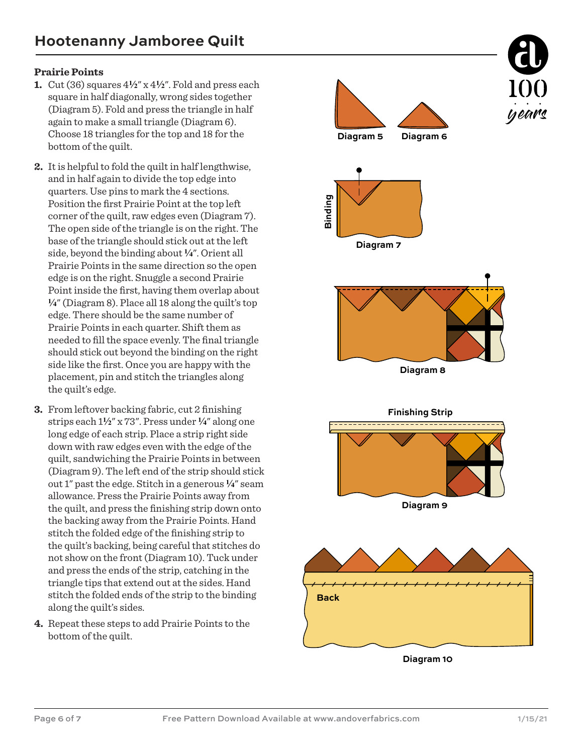#### **Prairie Points**

- **1.** Cut (36) squares 4**2**" x 4**2**". Fold and press each square in half diagonally, wrong sides together (Diagram 5). Fold and press the triangle in half again to make a small triangle (Diagram 6). Choose 18 triangles for the top and 18 for the bottom of the quilt.
- **2.** It is helpful to fold the quilt in half lengthwise, and in half again to divide the top edge into quarters. Use pins to mark the 4 sections. Position the first Prairie Point at the top left corner of the quilt, raw edges even (Diagram 7). The open side of the triangle is on the right. The base of the triangle should stick out at the left side, beyond the binding about **4**". Orient all Prairie Points in the same direction so the open edge is on the right. Snuggle a second Prairie Point inside the first, having them overlap about **4**" (Diagram 8). Place all 18 along the quilt's top edge. There should be the same number of Prairie Points in each quarter. Shift them as needed to fill the space evenly. The final triangle should stick out beyond the binding on the right side like the first. Once you are happy with the placement, pin and stitch the triangles along the quilt's edge.
- **3.** From leftover backing fabric, cut 2 finishing strips each 1**2**" x 73". Press under **4**" along one long edge of each strip. Place a strip right side down with raw edges even with the edge of the quilt, sandwiching the Prairie Points in between (Diagram 9). The left end of the strip should stick out 1" past the edge. Stitch in a generous  $\frac{1}{4}$ " seam allowance. Press the Prairie Points away from the quilt, and press the finishing strip down onto the backing away from the Prairie Points. Hand stitch the folded edge of the finishing strip to the quilt's backing, being careful that stitches do not show on the front (Diagram 10). Tuck under and press the ends of the strip, catching in the triangle tips that extend out at the sides. Hand stitch the folded ends of the strip to the binding along the quilt's sides.
- **4.** Repeat these steps to add Prairie Points to the bottom of the quilt.



**Diagram 10**